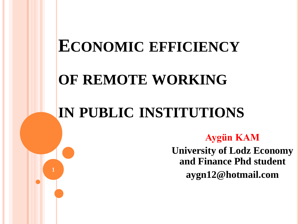# **ECONOMIC EFFICIENCY**

# **OF REMOTE WORKING**

# **IN PUBLIC INSTITUTIONS**

**Aygün KAM University of Lodz Economy and Finance Phd student aygn12@hotmail.com <sup>1</sup>**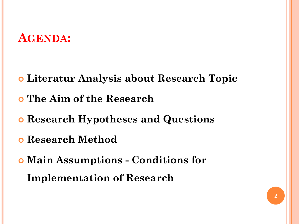### **AGENDA:**

- **Literatur Analysis about Research Topic**
- **The Aim of the Research**
- **Research Hypotheses and Questions**
- **Research Method**
- **Main Assumptions - Conditions for Implementation of Research**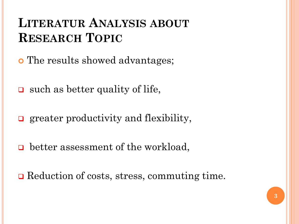## **LITERATUR ANALYSIS ABOUT RESEARCH TOPIC**

- The results showed advantages;
- $\Box$  such as better quality of life,
- **g** greater productivity and flexibility,
- **□** better assessment of the workload,
- **□** Reduction of costs, stress, commuting time.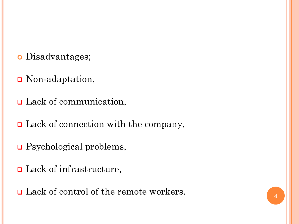- Disadvantages;
- **□** Non-adaptation,
- **□** Lack of communication,
- **□** Lack of connection with the company,
- □ Psychological problems,
- **□** Lack of infrastructure,
- **□** Lack of control of the remote workers.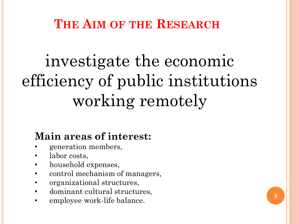**THE AIM OF THE RESEARCH**

# investigate the economic efficiency of public institutions working remotely

#### **Main areas of interest:**

- generation members,
- labor costs,
- household expenses,
- control mechanism of managers,
- organizational structures,
- dominant cultural structures,
- employee work-life balance.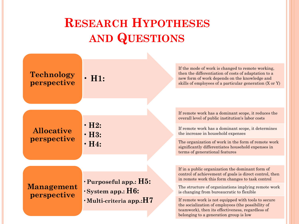# **RESEARCH HYPOTHESES AND QUESTIONS**

| <b>Technology</b><br>perspective | $\cdot$ H <sub>1</sub> :                                    | If the mode of work is changed to remote working,<br>then the differentiation of costs of adaptation to a<br>new form of work depends on the knowledge and<br>skills of employees of a particular generation (X or Y) |
|----------------------------------|-------------------------------------------------------------|-----------------------------------------------------------------------------------------------------------------------------------------------------------------------------------------------------------------------|
|                                  |                                                             |                                                                                                                                                                                                                       |
| <b>Allocative</b><br>perspective | $\cdot$ H2:<br>$\cdot$ H3:<br>$\cdot$ H4:                   | If remote work has a dominant scope, it reduces the<br>overall level of public institution's labor costs                                                                                                              |
|                                  |                                                             | If remote work has a dominant scope, it determines<br>the increase in household expenses                                                                                                                              |
|                                  |                                                             | The organization of work in the form of remote work<br>significantly differentiates household expenses in<br>terms of generational features                                                                           |
|                                  |                                                             |                                                                                                                                                                                                                       |
| <b>Management</b><br>perspective | $\cdot$ Purposeful app.: $H5$ :<br>$\cdot$ System app.: H6: | If in a public organization the dominant form of<br>control of achievement of goals is direct control, then<br>in remote work this form changes to task control                                                       |
|                                  |                                                             | The structure of organizations implying remote work<br>is changing from bureaucratic to flexible                                                                                                                      |
|                                  | $\cdot$ Multi-criteria app.: $H7$                           | If remote work is not equipped with tools to secure<br>the socialization of employees (the possibility of<br>teamwork), then its effectiveness, regardless of<br>belonging to a generation group is low               |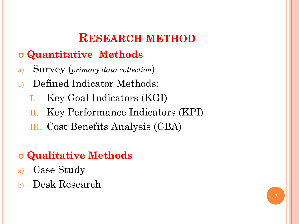## **RESEARCH METHOD**

#### **Quantitative Methods**

- a) Survey (*primary data collection*)
- b) Defined Indicator Methods:
	- I. Key Goal Indicators (KGI)
	- II. Key Performance Indicators (KPI)
	- III. Cost Benefits Analysis (CBA)

#### **Qualitative Methods**

- a) Case Study
- b) Desk Research